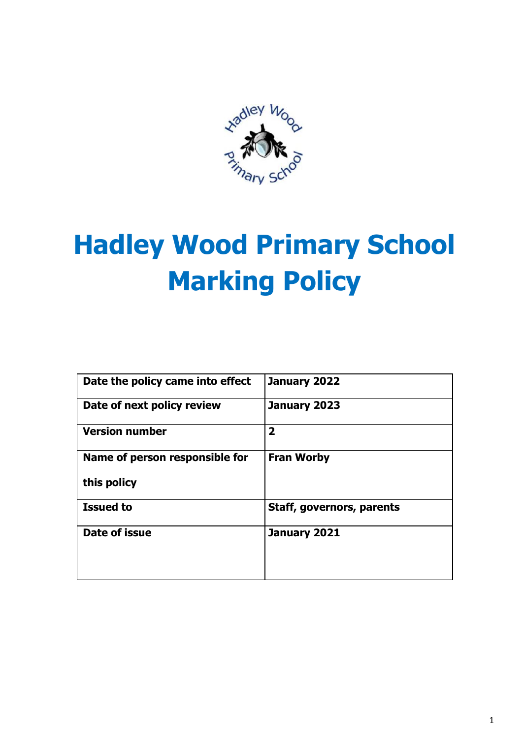

# **Hadley Wood Primary School Marking Policy**

| Date the policy came into effect | January 2022                     |
|----------------------------------|----------------------------------|
| Date of next policy review       | January 2023                     |
| <b>Version number</b>            | $\overline{2}$                   |
| Name of person responsible for   | <b>Fran Worby</b>                |
| this policy                      |                                  |
| <b>Issued to</b>                 | <b>Staff, governors, parents</b> |
| Date of issue                    | January 2021                     |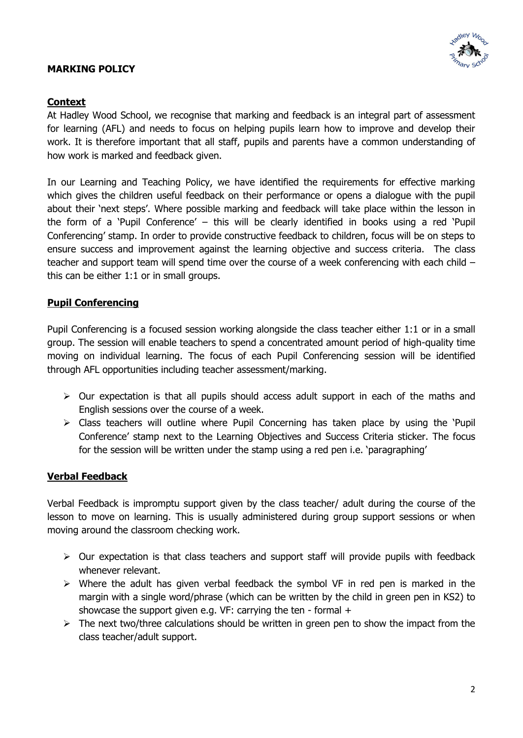## **MARKING POLICY**



## **Context**

At Hadley Wood School, we recognise that marking and feedback is an integral part of assessment for learning (AFL) and needs to focus on helping pupils learn how to improve and develop their work. It is therefore important that all staff, pupils and parents have a common understanding of how work is marked and feedback given.

In our Learning and Teaching Policy, we have identified the requirements for effective marking which gives the children useful feedback on their performance or opens a dialogue with the pupil about their 'next steps'. Where possible marking and feedback will take place within the lesson in the form of a 'Pupil Conference' – this will be clearly identified in books using a red 'Pupil Conferencing' stamp. In order to provide constructive feedback to children, focus will be on steps to ensure success and improvement against the learning objective and success criteria. The class teacher and support team will spend time over the course of a week conferencing with each child – this can be either 1:1 or in small groups.

## **Pupil Conferencing**

Pupil Conferencing is a focused session working alongside the class teacher either 1:1 or in a small group. The session will enable teachers to spend a concentrated amount period of high-quality time moving on individual learning. The focus of each Pupil Conferencing session will be identified through AFL opportunities including teacher assessment/marking.

- $\triangleright$  Our expectation is that all pupils should access adult support in each of the maths and English sessions over the course of a week.
- $\triangleright$  Class teachers will outline where Pupil Concerning has taken place by using the 'Pupil Conference' stamp next to the Learning Objectives and Success Criteria sticker. The focus for the session will be written under the stamp using a red pen i.e. 'paragraphing'

## **Verbal Feedback**

Verbal Feedback is impromptu support given by the class teacher/ adult during the course of the lesson to move on learning. This is usually administered during group support sessions or when moving around the classroom checking work.

- $\triangleright$  Our expectation is that class teachers and support staff will provide pupils with feedback whenever relevant.
- $\triangleright$  Where the adult has given verbal feedback the symbol VF in red pen is marked in the margin with a single word/phrase (which can be written by the child in green pen in KS2) to showcase the support given e.g. VF: carrying the ten - formal +
- $\triangleright$  The next two/three calculations should be written in green pen to show the impact from the class teacher/adult support.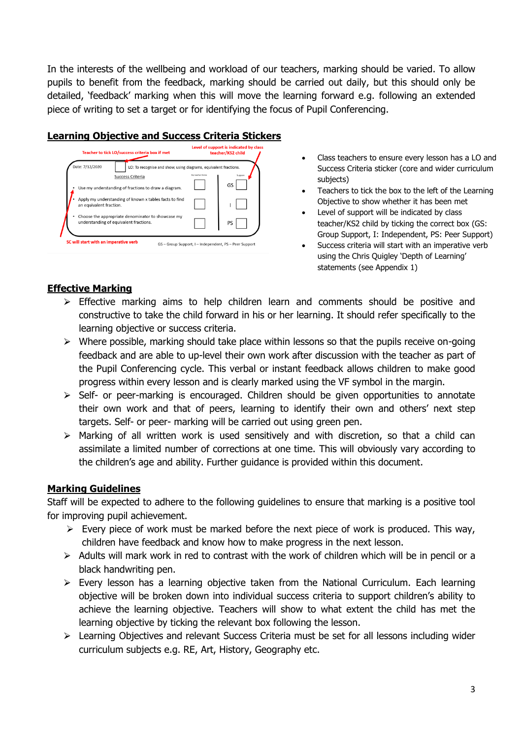In the interests of the wellbeing and workload of our teachers, marking should be varied. To allow pupils to benefit from the feedback, marking should be carried out daily, but this should only be detailed, 'feedback' marking when this will move the learning forward e.g. following an extended piece of writing to set a target or for identifying the focus of Pupil Conferencing.

## **Learning Objective and Success Criteria Stickers**

| Teacher to tick LO/success criteria box if met                                                                                                                  | Level of support is indicated by class<br>teacher/KS2 child |
|-----------------------------------------------------------------------------------------------------------------------------------------------------------------|-------------------------------------------------------------|
| Date: 7/12/2020<br>LO: To recognise and show, using diagrams, equivalent fractions.<br>Success Criteria<br>Use my understanding of fractions to draw a diagram. | My teacher thinks<br>Support<br>GS                          |
| Apply my understanding of known x tables facts to find<br>an equivalent fraction.                                                                               |                                                             |
| Choose the appropriate denominator to showcase my<br>understanding of equivalent fractions.                                                                     | PS                                                          |
| SC will start with an imperative verb                                                                                                                           | GS - Group Support, I - Independent, PS - Peer Support      |

- Class teachers to ensure every lesson has a LO and Success Criteria sticker (core and wider curriculum subjects)
- Teachers to tick the box to the left of the Learning Objective to show whether it has been met
- Level of support will be indicated by class teacher/KS2 child by ticking the correct box (GS: Group Support, I: Independent, PS: Peer Support)
- Success criteria will start with an imperative verb using the Chris Quigley 'Depth of Learning' statements (see Appendix 1)

## **Effective Marking**

- $\triangleright$  Effective marking aims to help children learn and comments should be positive and constructive to take the child forward in his or her learning. It should refer specifically to the learning objective or success criteria.
- $\triangleright$  Where possible, marking should take place within lessons so that the pupils receive on-going feedback and are able to up-level their own work after discussion with the teacher as part of the Pupil Conferencing cycle. This verbal or instant feedback allows children to make good progress within every lesson and is clearly marked using the VF symbol in the margin.
- $\triangleright$  Self- or peer-marking is encouraged. Children should be given opportunities to annotate their own work and that of peers, learning to identify their own and others' next step targets. Self- or peer- marking will be carried out using green pen.
- $\triangleright$  Marking of all written work is used sensitively and with discretion, so that a child can assimilate a limited number of corrections at one time. This will obviously vary according to the children's age and ability. Further guidance is provided within this document.

## **Marking Guidelines**

Staff will be expected to adhere to the following guidelines to ensure that marking is a positive tool for improving pupil achievement.

- $\triangleright$  Every piece of work must be marked before the next piece of work is produced. This way, children have feedback and know how to make progress in the next lesson.
- $\triangleright$  Adults will mark work in red to contrast with the work of children which will be in pencil or a black handwriting pen.
- $\triangleright$  Every lesson has a learning objective taken from the National Curriculum. Each learning objective will be broken down into individual success criteria to support children's ability to achieve the learning objective. Teachers will show to what extent the child has met the learning objective by ticking the relevant box following the lesson.
- > Learning Objectives and relevant Success Criteria must be set for all lessons including wider curriculum subjects e.g. RE, Art, History, Geography etc.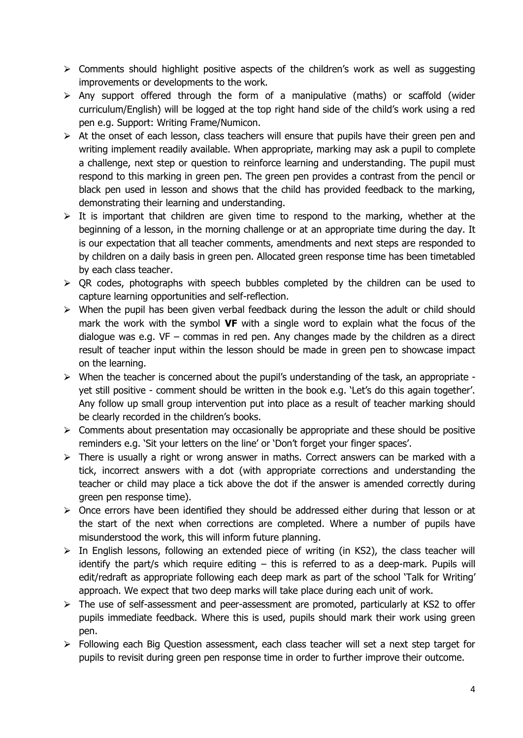- $\triangleright$  Comments should highlight positive aspects of the children's work as well as suggesting improvements or developments to the work.
- $\triangleright$  Any support offered through the form of a manipulative (maths) or scaffold (wider curriculum/English) will be logged at the top right hand side of the child's work using a red pen e.g. Support: Writing Frame/Numicon.
- $\triangleright$  At the onset of each lesson, class teachers will ensure that pupils have their green pen and writing implement readily available. When appropriate, marking may ask a pupil to complete a challenge, next step or question to reinforce learning and understanding. The pupil must respond to this marking in green pen. The green pen provides a contrast from the pencil or black pen used in lesson and shows that the child has provided feedback to the marking, demonstrating their learning and understanding.
- $\triangleright$  It is important that children are given time to respond to the marking, whether at the beginning of a lesson, in the morning challenge or at an appropriate time during the day. It is our expectation that all teacher comments, amendments and next steps are responded to by children on a daily basis in green pen. Allocated green response time has been timetabled by each class teacher.
- $\triangleright$  QR codes, photographs with speech bubbles completed by the children can be used to capture learning opportunities and self-reflection.
- $\triangleright$  When the pupil has been given verbal feedback during the lesson the adult or child should mark the work with the symbol **VF** with a single word to explain what the focus of the dialogue was e.g.  $VF - \text{commas}$  in red pen. Any changes made by the children as a direct result of teacher input within the lesson should be made in green pen to showcase impact on the learning.
- $\triangleright$  When the teacher is concerned about the pupil's understanding of the task, an appropriate yet still positive - comment should be written in the book e.g. 'Let's do this again together'. Any follow up small group intervention put into place as a result of teacher marking should be clearly recorded in the children's books.
- $\triangleright$  Comments about presentation may occasionally be appropriate and these should be positive reminders e.g. 'Sit your letters on the line' or 'Don't forget your finger spaces'.
- $\triangleright$  There is usually a right or wrong answer in maths. Correct answers can be marked with a tick, incorrect answers with a dot (with appropriate corrections and understanding the teacher or child may place a tick above the dot if the answer is amended correctly during green pen response time).
- $\triangleright$  Once errors have been identified they should be addressed either during that lesson or at the start of the next when corrections are completed. Where a number of pupils have misunderstood the work, this will inform future planning.
- $\triangleright$  In English lessons, following an extended piece of writing (in KS2), the class teacher will identify the part/s which require editing  $-$  this is referred to as a deep-mark. Pupils will edit/redraft as appropriate following each deep mark as part of the school 'Talk for Writing' approach. We expect that two deep marks will take place during each unit of work.
- $\triangleright$  The use of self-assessment and peer-assessment are promoted, particularly at KS2 to offer pupils immediate feedback. Where this is used, pupils should mark their work using green pen.
- $\triangleright$  Following each Big Question assessment, each class teacher will set a next step target for pupils to revisit during green pen response time in order to further improve their outcome.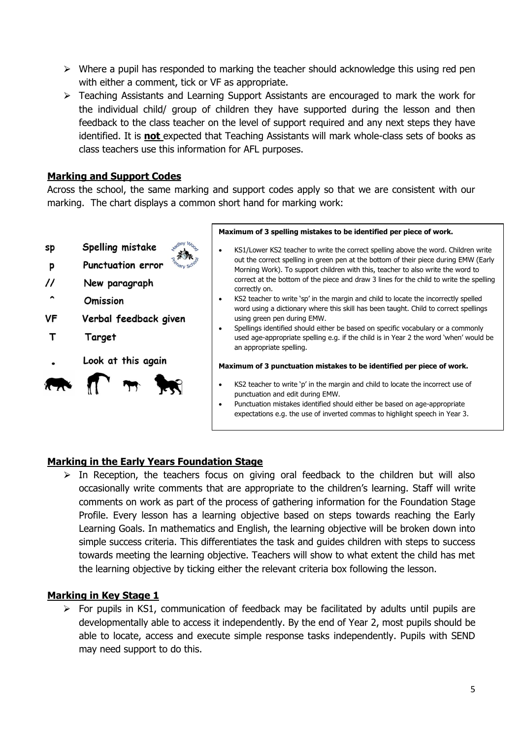- $\triangleright$  Where a pupil has responded to marking the teacher should acknowledge this using red pen with either a comment, tick or VF as appropriate.
- $\triangleright$  Teaching Assistants and Learning Support Assistants are encouraged to mark the work for the individual child/ group of children they have supported during the lesson and then feedback to the class teacher on the level of support required and any next steps they have identified. It is **not** expected that Teaching Assistants will mark whole-class sets of books as class teachers use this information for AFL purposes.

## **Marking and Support Codes**

Across the school, the same marking and support codes apply so that we are consistent with our marking. The chart displays a common short hand for marking work:

Spelling mistake sp



- $^{\prime\prime}$ New paragraph
- $\hat{\phantom{a}}$ **Omission**

Þ

- **VF** Verbal feedback given
- T Target
- Look at this again



#### **Maximum of 3 spelling mistakes to be identified per piece of work.**

- KS1/Lower KS2 teacher to write the correct spelling above the word. Children write out the correct spelling in green pen at the bottom of their piece during EMW (Early Morning Work). To support children with this, teacher to also write the word to correct at the bottom of the piece and draw 3 lines for the child to write the spelling correctly on.
- KS2 teacher to write 'sp' in the margin and child to locate the incorrectly spelled word using a dictionary where this skill has been taught. Child to correct spellings using green pen during EMW.
- Spellings identified should either be based on specific vocabulary or a commonly used age-appropriate spelling e.g. if the child is in Year 2 the word 'when' would be an appropriate spelling.

#### **Maximum of 3 punctuation mistakes to be identified per piece of work.**

- KS2 teacher to write 'p' in the margin and child to locate the incorrect use of punctuation and edit during EMW.
- Punctuation mistakes identified should either be based on age-appropriate expectations e.g. the use of inverted commas to highlight speech in Year 3.

## **Marking in the Early Years Foundation Stage**

 $\triangleright$  In Reception, the teachers focus on giving oral feedback to the children but will also occasionally write comments that are appropriate to the children's learning. Staff will write comments on work as part of the process of gathering information for the Foundation Stage Profile. Every lesson has a learning objective based on steps towards reaching the Early Learning Goals. In mathematics and English, the learning objective will be broken down into simple success criteria. This differentiates the task and guides children with steps to success towards meeting the learning objective. Teachers will show to what extent the child has met the learning objective by ticking either the relevant criteria box following the lesson.

## **Marking in Key Stage 1**

 $\triangleright$  For pupils in KS1, communication of feedback may be facilitated by adults until pupils are developmentally able to access it independently. By the end of Year 2, most pupils should be able to locate, access and execute simple response tasks independently. Pupils with SEND may need support to do this.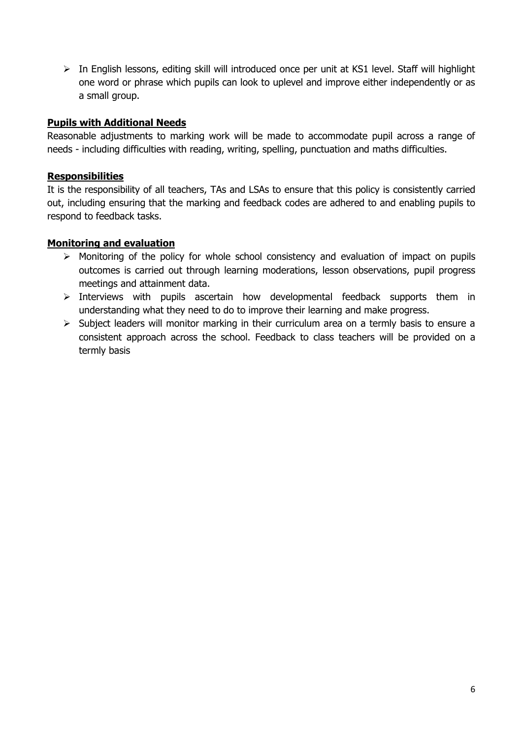$\triangleright$  In English lessons, editing skill will introduced once per unit at KS1 level. Staff will highlight one word or phrase which pupils can look to uplevel and improve either independently or as a small group.

## **Pupils with Additional Needs**

Reasonable adjustments to marking work will be made to accommodate pupil across a range of needs - including difficulties with reading, writing, spelling, punctuation and maths difficulties.

### **Responsibilities**

It is the responsibility of all teachers, TAs and LSAs to ensure that this policy is consistently carried out, including ensuring that the marking and feedback codes are adhered to and enabling pupils to respond to feedback tasks.

## **Monitoring and evaluation**

- $\triangleright$  Monitoring of the policy for whole school consistency and evaluation of impact on pupils outcomes is carried out through learning moderations, lesson observations, pupil progress meetings and attainment data.
- $\triangleright$  Interviews with pupils ascertain how developmental feedback supports them in understanding what they need to do to improve their learning and make progress.
- $\triangleright$  Subject leaders will monitor marking in their curriculum area on a termly basis to ensure a consistent approach across the school. Feedback to class teachers will be provided on a termly basis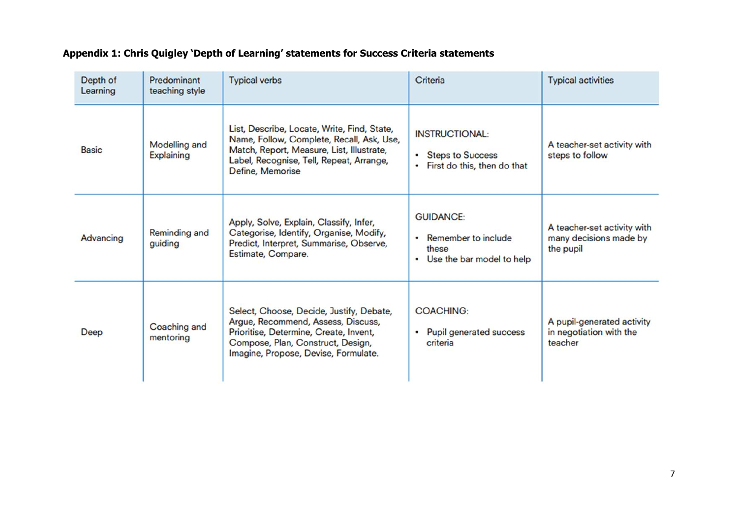# **Appendix 1: Chris Quigley 'Depth of Learning' statements for Success Criteria statements**

| Depth of<br>Learning | Predominant<br>teaching style      | <b>Typical verbs</b>                                                                                                                                                                                  | Criteria                                                                          | <b>Typical activities</b>                                          |
|----------------------|------------------------------------|-------------------------------------------------------------------------------------------------------------------------------------------------------------------------------------------------------|-----------------------------------------------------------------------------------|--------------------------------------------------------------------|
| <b>Basic</b>         | <b>Modelling and</b><br>Explaining | List, Describe, Locate, Write, Find, State,<br>Name, Follow, Complete, Recall, Ask, Use,<br>Match, Report, Measure, List, Illustrate,<br>Label, Recognise, Tell, Repeat, Arrange,<br>Define, Memorise | <b>INSTRUCTIONAL:</b><br>• Steps to Success<br>• First do this, then do that      | A teacher-set activity with<br>steps to follow                     |
| Advancing            | Reminding and<br>guiding           | Apply, Solve, Explain, Classify, Infer,<br>Categorise, Identify, Organise, Modify,<br>Predict, Interpret, Summarise, Observe,<br>Estimate, Compare.                                                   | <b>GUIDANCE:</b><br>• Remember to include<br>these<br>• Use the bar model to help | A teacher-set activity with<br>many decisions made by<br>the pupil |
| Deep                 | Coaching and<br>mentoring          | Select, Choose, Decide, Justify, Debate,<br>Argue, Recommend, Assess, Discuss,<br>Prioritise, Determine, Create, Invent,<br>Compose, Plan, Construct, Design,<br>Imagine, Propose, Devise, Formulate. | <b>COACHING:</b><br>• Pupil generated success<br>criteria                         | A pupil-generated activity<br>in negotiation with the<br>teacher   |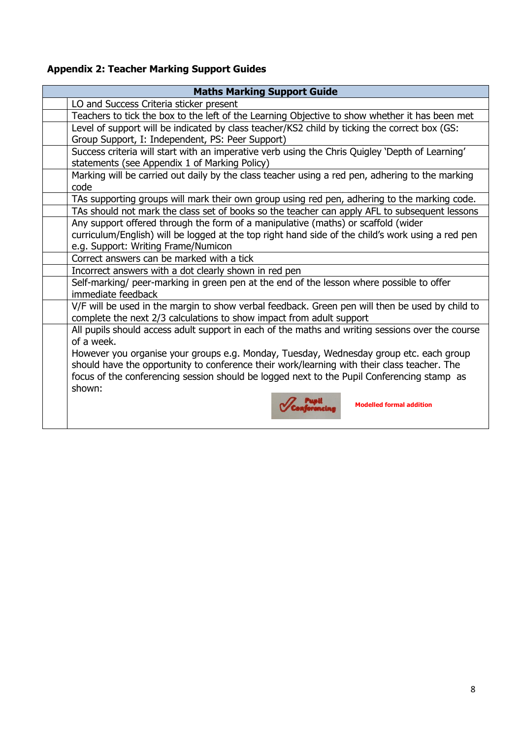# **Appendix 2: Teacher Marking Support Guides**

| <b>Maths Marking Support Guide</b> |                                                                                                   |  |
|------------------------------------|---------------------------------------------------------------------------------------------------|--|
|                                    | LO and Success Criteria sticker present                                                           |  |
|                                    | Teachers to tick the box to the left of the Learning Objective to show whether it has been met    |  |
|                                    | Level of support will be indicated by class teacher/KS2 child by ticking the correct box (GS:     |  |
|                                    | Group Support, I: Independent, PS: Peer Support)                                                  |  |
|                                    | Success criteria will start with an imperative verb using the Chris Quigley 'Depth of Learning'   |  |
|                                    | statements (see Appendix 1 of Marking Policy)                                                     |  |
|                                    | Marking will be carried out daily by the class teacher using a red pen, adhering to the marking   |  |
|                                    | code                                                                                              |  |
|                                    | TAs supporting groups will mark their own group using red pen, adhering to the marking code.      |  |
|                                    | TAs should not mark the class set of books so the teacher can apply AFL to subsequent lessons     |  |
|                                    | Any support offered through the form of a manipulative (maths) or scaffold (wider                 |  |
|                                    | curriculum/English) will be logged at the top right hand side of the child's work using a red pen |  |
|                                    | e.g. Support: Writing Frame/Numicon                                                               |  |
|                                    | Correct answers can be marked with a tick                                                         |  |
|                                    | Incorrect answers with a dot clearly shown in red pen                                             |  |
|                                    | Self-marking/ peer-marking in green pen at the end of the lesson where possible to offer          |  |
|                                    | immediate feedback                                                                                |  |
|                                    | V/F will be used in the margin to show verbal feedback. Green pen will then be used by child to   |  |
|                                    | complete the next 2/3 calculations to show impact from adult support                              |  |
|                                    | All pupils should access adult support in each of the maths and writing sessions over the course  |  |
|                                    | of a week.                                                                                        |  |
|                                    | However you organise your groups e.g. Monday, Tuesday, Wednesday group etc. each group            |  |
|                                    | should have the opportunity to conference their work/learning with their class teacher. The       |  |
|                                    | focus of the conferencing session should be logged next to the Pupil Conferencing stamp as        |  |
|                                    | shown:                                                                                            |  |
|                                    | <b>Modelled formal addition</b>                                                                   |  |
|                                    |                                                                                                   |  |
|                                    |                                                                                                   |  |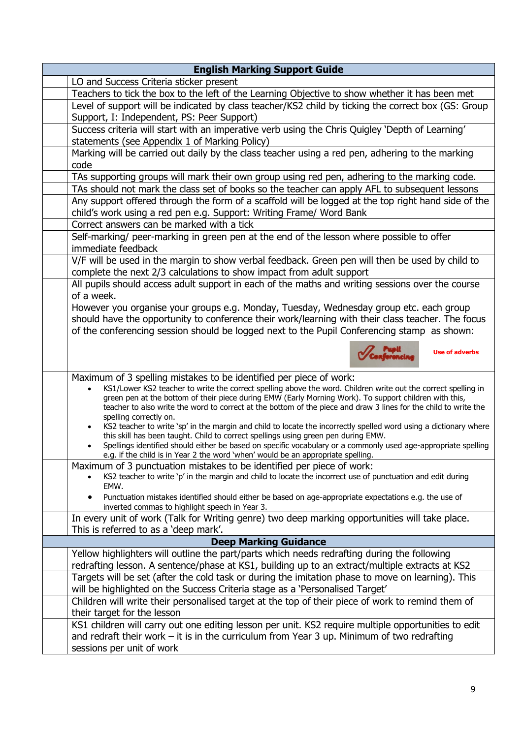| <b>English Marking Support Guide</b>                                                                                                                                                                                                                                                                                                                                                                                                         |  |
|----------------------------------------------------------------------------------------------------------------------------------------------------------------------------------------------------------------------------------------------------------------------------------------------------------------------------------------------------------------------------------------------------------------------------------------------|--|
| LO and Success Criteria sticker present                                                                                                                                                                                                                                                                                                                                                                                                      |  |
| Teachers to tick the box to the left of the Learning Objective to show whether it has been met                                                                                                                                                                                                                                                                                                                                               |  |
| Level of support will be indicated by class teacher/KS2 child by ticking the correct box (GS: Group                                                                                                                                                                                                                                                                                                                                          |  |
| Support, I: Independent, PS: Peer Support)                                                                                                                                                                                                                                                                                                                                                                                                   |  |
| Success criteria will start with an imperative verb using the Chris Quigley 'Depth of Learning'                                                                                                                                                                                                                                                                                                                                              |  |
| statements (see Appendix 1 of Marking Policy)                                                                                                                                                                                                                                                                                                                                                                                                |  |
| Marking will be carried out daily by the class teacher using a red pen, adhering to the marking<br>code                                                                                                                                                                                                                                                                                                                                      |  |
| TAs supporting groups will mark their own group using red pen, adhering to the marking code.                                                                                                                                                                                                                                                                                                                                                 |  |
| TAs should not mark the class set of books so the teacher can apply AFL to subsequent lessons                                                                                                                                                                                                                                                                                                                                                |  |
| Any support offered through the form of a scaffold will be logged at the top right hand side of the                                                                                                                                                                                                                                                                                                                                          |  |
| child's work using a red pen e.g. Support: Writing Frame/ Word Bank                                                                                                                                                                                                                                                                                                                                                                          |  |
| Correct answers can be marked with a tick                                                                                                                                                                                                                                                                                                                                                                                                    |  |
| Self-marking/ peer-marking in green pen at the end of the lesson where possible to offer                                                                                                                                                                                                                                                                                                                                                     |  |
| immediate feedback                                                                                                                                                                                                                                                                                                                                                                                                                           |  |
| V/F will be used in the margin to show verbal feedback. Green pen will then be used by child to                                                                                                                                                                                                                                                                                                                                              |  |
| complete the next 2/3 calculations to show impact from adult support                                                                                                                                                                                                                                                                                                                                                                         |  |
| All pupils should access adult support in each of the maths and writing sessions over the course<br>of a week.                                                                                                                                                                                                                                                                                                                               |  |
| However you organise your groups e.g. Monday, Tuesday, Wednesday group etc. each group                                                                                                                                                                                                                                                                                                                                                       |  |
| should have the opportunity to conference their work/learning with their class teacher. The focus                                                                                                                                                                                                                                                                                                                                            |  |
| of the conferencing session should be logged next to the Pupil Conferencing stamp as shown:                                                                                                                                                                                                                                                                                                                                                  |  |
|                                                                                                                                                                                                                                                                                                                                                                                                                                              |  |
| <b>Use of adverbs</b>                                                                                                                                                                                                                                                                                                                                                                                                                        |  |
| Maximum of 3 spelling mistakes to be identified per piece of work:<br>KS1/Lower KS2 teacher to write the correct spelling above the word. Children write out the correct spelling in<br>green pen at the bottom of their piece during EMW (Early Morning Work). To support children with this,<br>teacher to also write the word to correct at the bottom of the piece and draw 3 lines for the child to write the<br>spelling correctly on. |  |
| KS2 teacher to write 'sp' in the margin and child to locate the incorrectly spelled word using a dictionary where<br>this skill has been taught. Child to correct spellings using green pen during EMW.<br>Spellings identified should either be based on specific vocabulary or a commonly used age-appropriate spelling<br>e.g. if the child is in Year 2 the word 'when' would be an appropriate spelling.                                |  |
| Maximum of 3 punctuation mistakes to be identified per piece of work:                                                                                                                                                                                                                                                                                                                                                                        |  |
| KS2 teacher to write 'p' in the margin and child to locate the incorrect use of punctuation and edit during<br>EMW.                                                                                                                                                                                                                                                                                                                          |  |
| Punctuation mistakes identified should either be based on age-appropriate expectations e.g. the use of<br>inverted commas to highlight speech in Year 3.                                                                                                                                                                                                                                                                                     |  |
| In every unit of work (Talk for Writing genre) two deep marking opportunities will take place.                                                                                                                                                                                                                                                                                                                                               |  |
| This is referred to as a 'deep mark'.                                                                                                                                                                                                                                                                                                                                                                                                        |  |
| <b>Deep Marking Guidance</b>                                                                                                                                                                                                                                                                                                                                                                                                                 |  |
| Yellow highlighters will outline the part/parts which needs redrafting during the following                                                                                                                                                                                                                                                                                                                                                  |  |
| redrafting lesson. A sentence/phase at KS1, building up to an extract/multiple extracts at KS2                                                                                                                                                                                                                                                                                                                                               |  |
| Targets will be set (after the cold task or during the imitation phase to move on learning). This<br>will be highlighted on the Success Criteria stage as a 'Personalised Target'                                                                                                                                                                                                                                                            |  |
| Children will write their personalised target at the top of their piece of work to remind them of                                                                                                                                                                                                                                                                                                                                            |  |
| their target for the lesson                                                                                                                                                                                                                                                                                                                                                                                                                  |  |
| KS1 children will carry out one editing lesson per unit. KS2 require multiple opportunities to edit                                                                                                                                                                                                                                                                                                                                          |  |
| and redraft their work $-$ it is in the curriculum from Year 3 up. Minimum of two redrafting                                                                                                                                                                                                                                                                                                                                                 |  |
| sessions per unit of work                                                                                                                                                                                                                                                                                                                                                                                                                    |  |
|                                                                                                                                                                                                                                                                                                                                                                                                                                              |  |